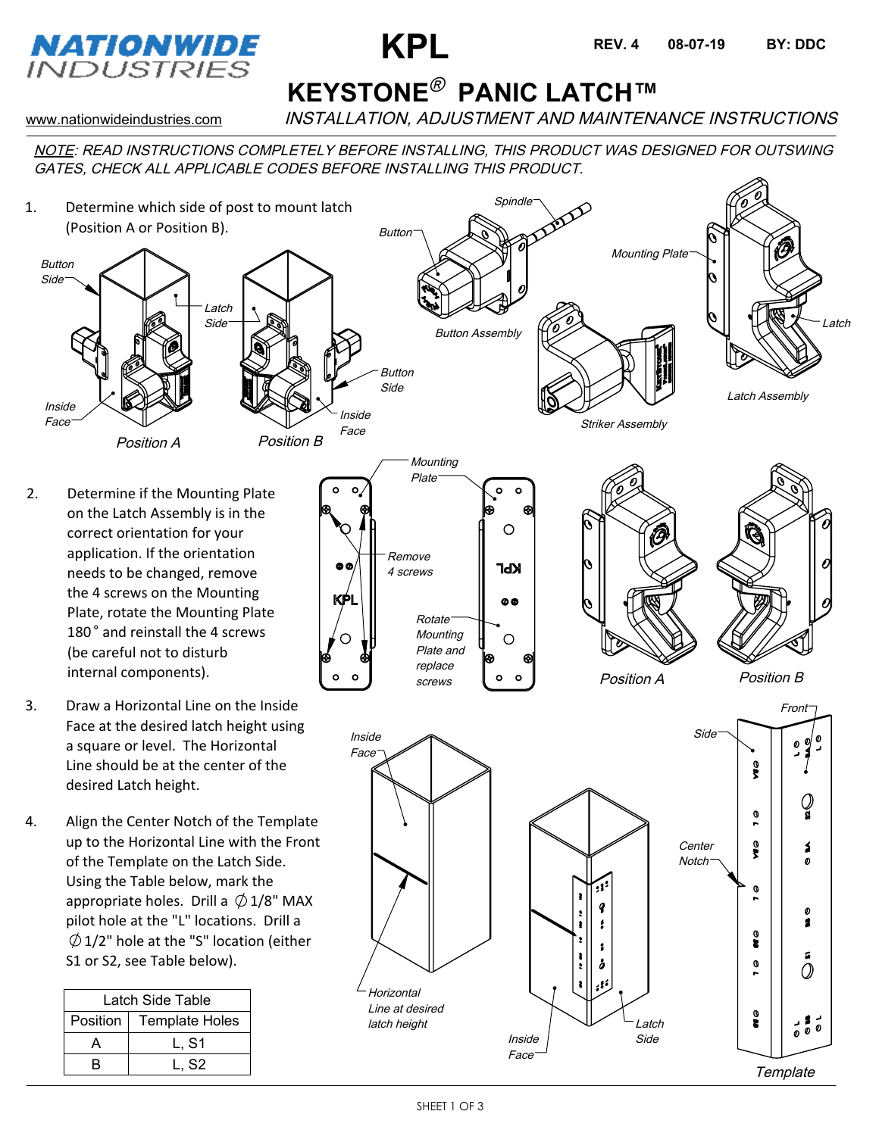

## **KEYSTONE<sup>®</sup> PANIC LATCH™**

**KPL REV.4** 08-07-19 BY: DDC

**REV. 4**

www.nationwideindustries.com INSTALLATION, ADJUSTMENT AND MAINTENANCE INSTRUCTIONS

NOTE: READ INSTRUCTIONS COMPLETELY BEFORE INSTALLING, THIS PRODUCT WAS DESIGNED FOR OUTSWING GATES, CHECK ALL APPLICABLE CODES BEFORE INSTALLING THIS PRODUCT.

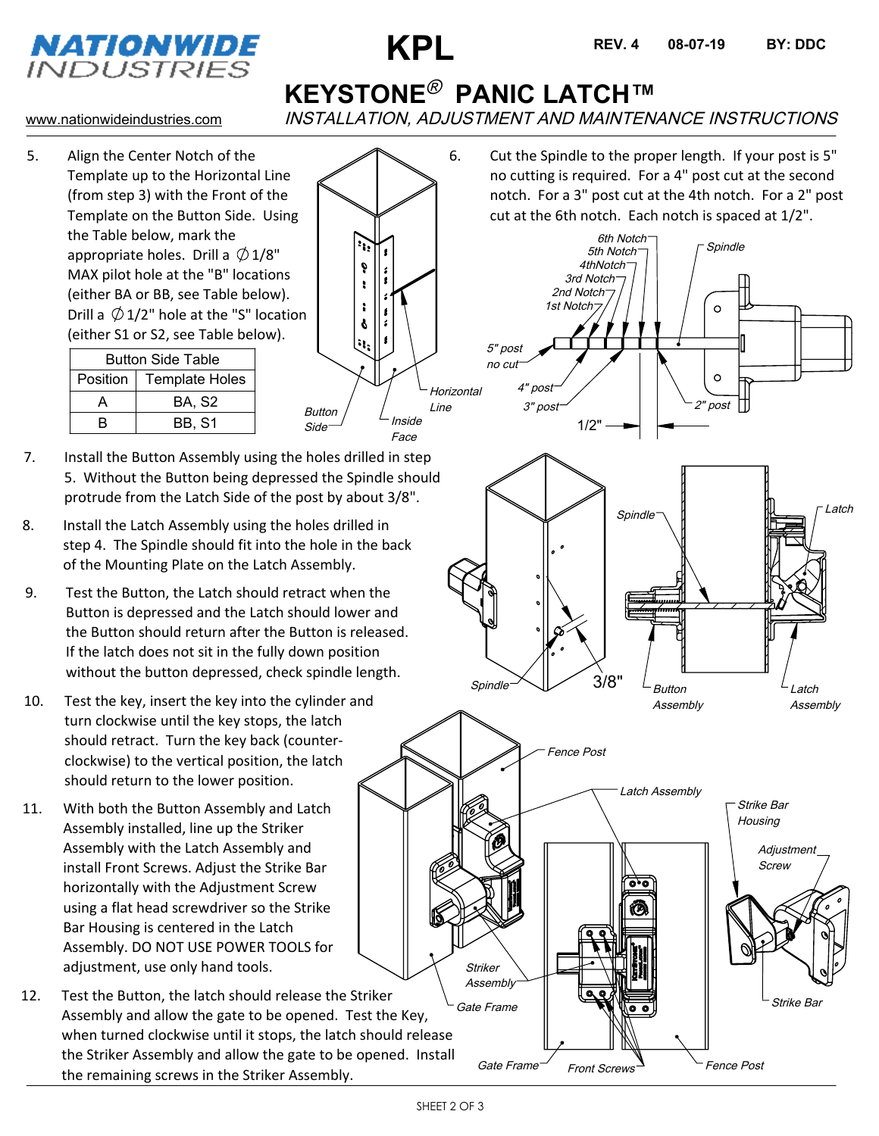

Inside Face

Button Side

 $\mathbf{G}$  $\pmb{\delta}$  $\pmb{\ddot{\xi}}$  $\mathbf{r}$ 

 $\boldsymbol{\delta}$ N,  $\circ$ 



**KEYSTONE<sup>®</sup> PANIC LATCH™** 

1st Notch 2nd Notch 3rd Notch

5" post

www.nationwideindustries.com INSTALLATION, ADJUSTMENT AND MAINTENANCE INSTRUCTIONS

5. Align the Center Notch of the Template up to the Horizontal Line (from step 3) with the Front of the Template on the Button Side. Using the Table below, mark the appropriate holes. Drill a  $\emptyset$  1/8" MAX pilot hole at the "B" locations (either BA or BB, see Table below). Drill a  $\emptyset$  1/2" hole at the "S" location (either S1 or S2, see Table below).

| <b>Button Side Table</b> |                       |
|--------------------------|-----------------------|
| Position                 | <b>Template Holes</b> |
| Δ                        | BA. S2                |
| R                        | <b>BB. S1</b>         |

- 7. Install the Button Assembly using the holes drilled in step 5. Without the Button being depressed the Spindle should protrude from the Latch Side of the post by about 3/8".
- 8. Install the Latch Assembly using the holes drilled in step 4. The Spindle should fit into the hole in the back of the Mounting Plate on the Latch Assembly.
- 9. Test the Button, the Latch should retract when the Button is depressed and the Latch should lower and the Button should return after the Button is released. If the latch does not sit in the fully down position without the button depressed, check spindle length.
- 10. Test the key, insert the key into the cylinder and turn clockwise until the key stops, the latch should retract. Turn the key back (counterclockwise) to the vertical position, the latch should return to the lower position.
- 11. With both the Button Assembly and Latch Assembly installed, line up the Striker Assembly with the Latch Assembly and install Front Screws. Adjust the Strike Bar horizontally with the Adjustment Screw using a flat head screwdriver so the Strike Bar Housing is centered in the Latch Assembly. DO NOT USE POWER TOOLS for adjustment, use only hand tools.
- 12. Test the Button, the latch should release the Striker Assembly and allow the gate to be opened. Test the Key, when turned clockwise until it stops, the latch should release the Striker Assembly and allow the gate to be opened. Install the remaining screws in the Striker Assembly.

4thNotch 5th Notch 6th Notch **Spindle** 6. Cut the Spindle to the proper length. If your post is 5" no cutting is required. For a 4" post cut at the second notch. For a 3" post cut at the 4th notch. For a 2" post cut at the 6th notch. Each notch is spaced at 1/2".